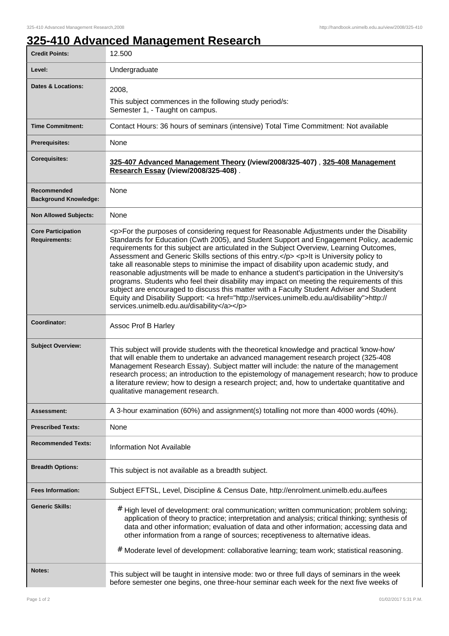## **325-410 Advanced Management Research**

| <b>Credit Points:</b>                             | 12.500                                                                                                                                                                                                                                                                                                                                                                                                                                                                                                                                                                                                                                                                                                                                                                                                                                                                                                                       |
|---------------------------------------------------|------------------------------------------------------------------------------------------------------------------------------------------------------------------------------------------------------------------------------------------------------------------------------------------------------------------------------------------------------------------------------------------------------------------------------------------------------------------------------------------------------------------------------------------------------------------------------------------------------------------------------------------------------------------------------------------------------------------------------------------------------------------------------------------------------------------------------------------------------------------------------------------------------------------------------|
| Level:                                            | Undergraduate                                                                                                                                                                                                                                                                                                                                                                                                                                                                                                                                                                                                                                                                                                                                                                                                                                                                                                                |
| <b>Dates &amp; Locations:</b>                     | 2008,                                                                                                                                                                                                                                                                                                                                                                                                                                                                                                                                                                                                                                                                                                                                                                                                                                                                                                                        |
|                                                   | This subject commences in the following study period/s:<br>Semester 1, - Taught on campus.                                                                                                                                                                                                                                                                                                                                                                                                                                                                                                                                                                                                                                                                                                                                                                                                                                   |
| <b>Time Commitment:</b>                           | Contact Hours: 36 hours of seminars (intensive) Total Time Commitment: Not available                                                                                                                                                                                                                                                                                                                                                                                                                                                                                                                                                                                                                                                                                                                                                                                                                                         |
| <b>Prerequisites:</b>                             | None                                                                                                                                                                                                                                                                                                                                                                                                                                                                                                                                                                                                                                                                                                                                                                                                                                                                                                                         |
| <b>Corequisites:</b>                              | 325-407 Advanced Management Theory (/view/2008/325-407), 325-408 Management<br>Research Essay (/view/2008/325-408).                                                                                                                                                                                                                                                                                                                                                                                                                                                                                                                                                                                                                                                                                                                                                                                                          |
| Recommended<br><b>Background Knowledge:</b>       | None                                                                                                                                                                                                                                                                                                                                                                                                                                                                                                                                                                                                                                                                                                                                                                                                                                                                                                                         |
| <b>Non Allowed Subjects:</b>                      | None                                                                                                                                                                                                                                                                                                                                                                                                                                                                                                                                                                                                                                                                                                                                                                                                                                                                                                                         |
| <b>Core Participation</b><br><b>Requirements:</b> | <p>For the purposes of considering request for Reasonable Adjustments under the Disability<br/>Standards for Education (Cwth 2005), and Student Support and Engagement Policy, academic<br/>requirements for this subject are articulated in the Subject Overview, Learning Outcomes,<br/>Assessment and Generic Skills sections of this entry.</p> <p>lt is University policy to<br/>take all reasonable steps to minimise the impact of disability upon academic study, and<br/>reasonable adjustments will be made to enhance a student's participation in the University's<br/>programs. Students who feel their disability may impact on meeting the requirements of this<br/>subject are encouraged to discuss this matter with a Faculty Student Adviser and Student<br/>Equity and Disability Support: &lt; a href="http://services.unimelb.edu.au/disability"&gt;http://<br/>services.unimelb.edu.au/disability</p> |
| Coordinator:                                      | Assoc Prof B Harley                                                                                                                                                                                                                                                                                                                                                                                                                                                                                                                                                                                                                                                                                                                                                                                                                                                                                                          |
| <b>Subject Overview:</b>                          | This subject will provide students with the theoretical knowledge and practical 'know-how'<br>that will enable them to undertake an advanced management research project (325-408<br>Management Research Essay). Subject matter will include: the nature of the management<br>research process; an introduction to the epistemology of management research; how to produce<br>a literature review; how to design a research project; and, how to undertake quantitative and<br>qualitative management research.                                                                                                                                                                                                                                                                                                                                                                                                              |
| Assessment:                                       | A 3-hour examination (60%) and assignment(s) totalling not more than 4000 words (40%).                                                                                                                                                                                                                                                                                                                                                                                                                                                                                                                                                                                                                                                                                                                                                                                                                                       |
| <b>Prescribed Texts:</b>                          | None                                                                                                                                                                                                                                                                                                                                                                                                                                                                                                                                                                                                                                                                                                                                                                                                                                                                                                                         |
| <b>Recommended Texts:</b>                         | <b>Information Not Available</b>                                                                                                                                                                                                                                                                                                                                                                                                                                                                                                                                                                                                                                                                                                                                                                                                                                                                                             |
| <b>Breadth Options:</b>                           | This subject is not available as a breadth subject.                                                                                                                                                                                                                                                                                                                                                                                                                                                                                                                                                                                                                                                                                                                                                                                                                                                                          |
| <b>Fees Information:</b>                          | Subject EFTSL, Level, Discipline & Census Date, http://enrolment.unimelb.edu.au/fees                                                                                                                                                                                                                                                                                                                                                                                                                                                                                                                                                                                                                                                                                                                                                                                                                                         |
| <b>Generic Skills:</b>                            | # High level of development: oral communication; written communication; problem solving;<br>application of theory to practice; interpretation and analysis; critical thinking; synthesis of<br>data and other information; evaluation of data and other information; accessing data and<br>other information from a range of sources; receptiveness to alternative ideas.                                                                                                                                                                                                                                                                                                                                                                                                                                                                                                                                                    |
|                                                   | Moderate level of development: collaborative learning; team work; statistical reasoning.<br>#                                                                                                                                                                                                                                                                                                                                                                                                                                                                                                                                                                                                                                                                                                                                                                                                                                |
| Notes:                                            | This subject will be taught in intensive mode: two or three full days of seminars in the week<br>before semester one begins, one three-hour seminar each week for the next five weeks of                                                                                                                                                                                                                                                                                                                                                                                                                                                                                                                                                                                                                                                                                                                                     |